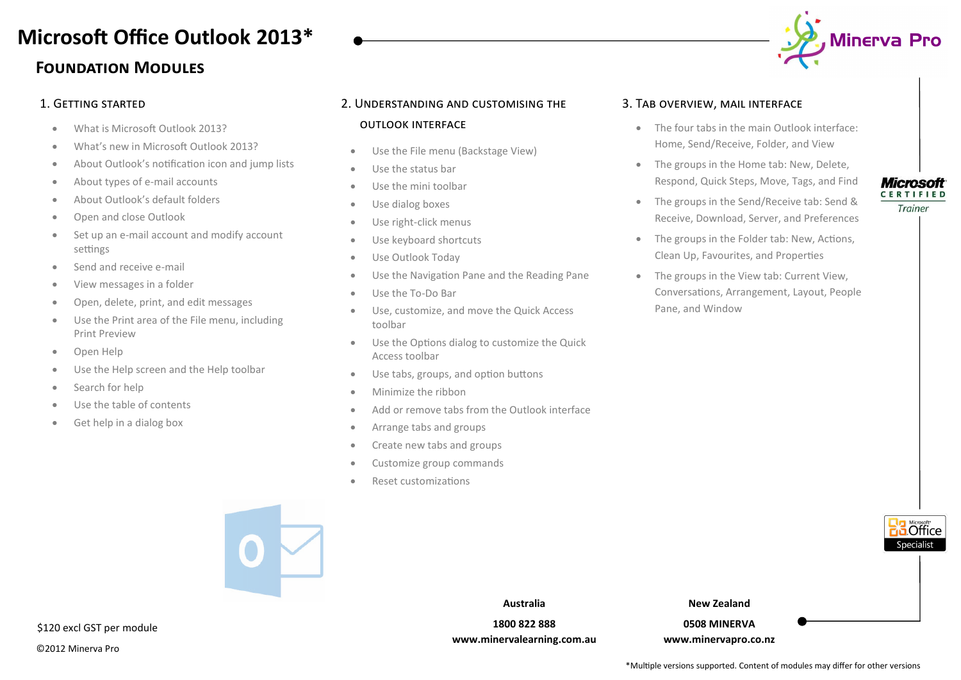## **Foundation Modules Microsoft Office Outlook 2013\***

- What is Microsoft Outlook 2013?
- What's new in Microsoft Outlook 2013?
- About Outlook's notification icon and jump lists
- About types of e-mail accounts
- About Outlook's default folders
- Open and close Outlook
- Set up an e-mail account and modify account settings
- Send and receive e-mail
- View messages in a folder
- Open, delete, print, and edit messages
- Use the Print area of the File menu, including Print Preview
- Open Help
- Use the Help screen and the Help toolbar
- Search for help
- Use the table of contents
- Get help in a dialog box

### 1. Getting started 2. Understanding and customising the

#### outlook interface

- Use the File menu (Backstage View)
- Use the status bar
- Use the mini toolbar
- Use dialog boxes
- Use right-click menus
- Use keyboard shortcuts
- Use Outlook Today
- Use the Navigation Pane and the Reading Pane
- Use the To-Do Bar
- Use, customize, and move the Quick Access toolbar
- Use the Options dialog to customize the Quick Access toolbar
- Use tabs, groups, and option buttons
- Minimize the ribbon
- Add or remove tabs from the Outlook interface
- Arrange tabs and groups
- Create new tabs and groups
- Customize group commands
- Reset customizations



- The four tabs in the main Outlook interface: Home, Send/Receive, Folder, and View
- The groups in the Home tab: New, Delete, Respond, Quick Steps, Move, Tags, and Find
- The groups in the Send/Receive tab: Send & Receive, Download, Server, and Preferences
- The groups in the Folder tab: New, Actions, Clean Up, Favourites, and Properties
- The groups in the View tab: Current View, Conversations, Arrangement, Layout, People Pane, and Window

#### **Microsoft CERTIFIED**

Trainer

**5** Office

**New Zealand**

**0508 MINERVA www.minervapro.co.nz**

©2012 Minerva Pro

\$120 excl GST per module



**www.minervalearning.com.au**







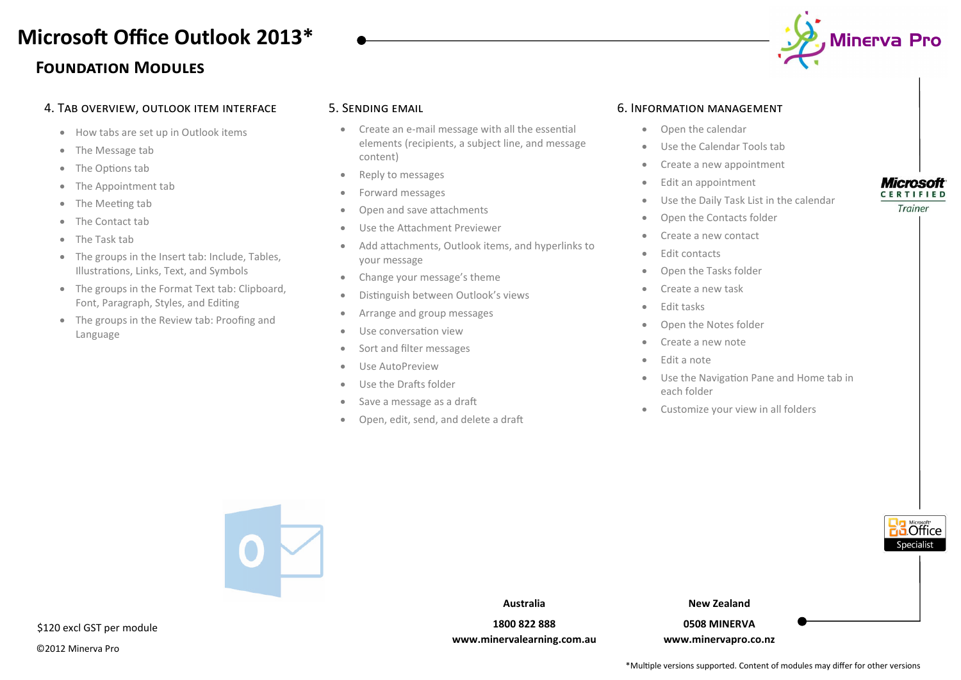## **Foundation Modules Microsoft Office Outlook 2013\***



- How tabs are set up in Outlook items
- The Message tab
- The Options tab
- The Appointment tab
- The Meeting tab
- The Contact tab
- The Task tab
- The groups in the Insert tab: Include, Tables, Illustrations, Links, Text, and Symbols
- The groups in the Format Text tab: Clipboard, Font, Paragraph, Styles, and Editing
- The groups in the Review tab: Proofing and Language

#### 4. Tab overview, outlook item interface 5. Sending email

- Create an e-mail message with all the essential elements (recipients, a subject line, and message content)
- Reply to messages
- Forward messages
- Open and save attachments
- Use the Attachment Previewer
- Add attachments, Outlook items, and hyperlinks to your message
- Change your message's theme
- Distinguish between Outlook's views
- Arrange and group messages
- Use conversation view
- Sort and filter messages
- Use AutoPreview
- Use the Drafts folder
- Save a message as a draft
- Open, edit, send, and delete a draft

#### 6. Information management

- Open the calendar
- Use the Calendar Tools tab
- Create a new appointment
- Edit an appointment
- Use the Daily Task List in the calendar
- Open the Contacts folder
- Create a new contact
- Edit contacts
- Open the Tasks folder
- Create a new task
- Edit tasks
- Open the Notes folder
- Create a new note
- Edit a note
- Use the Navigation Pane and Home tab in each folder
- Customize your view in all folders



\*Multiple versions supported. Content of modules may differ for other versions

©2012 Minerva Pro

**Microsoft CERTIFIED** Trainer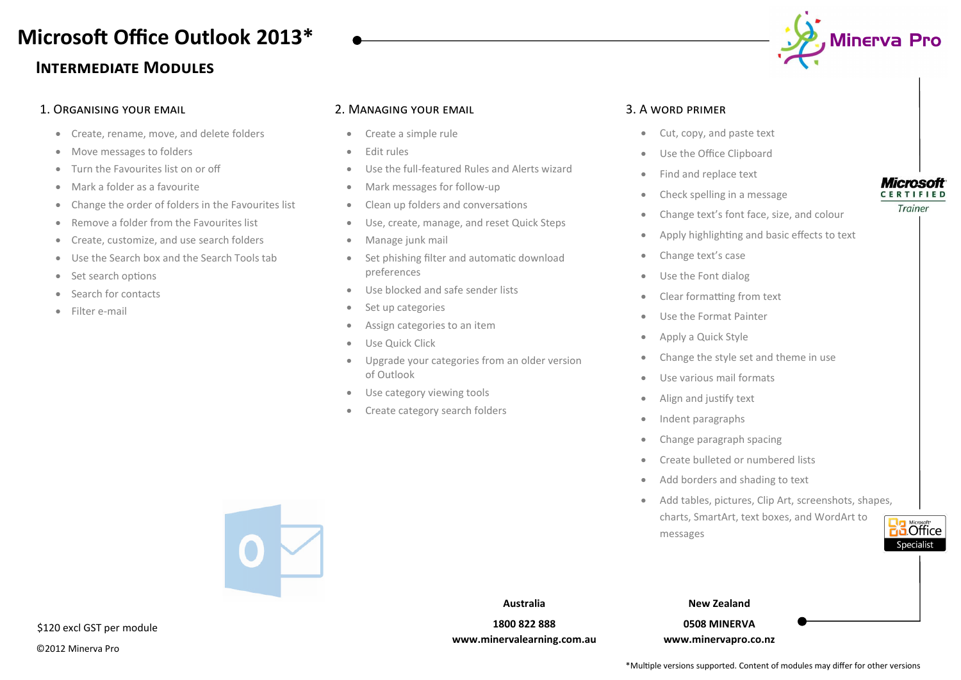# **Microsoft Office Outlook 2013\***

### **Intermediate Modules**

### 1. Organising your email

- Create, rename, move, and delete folders
- Move messages to folders
- Turn the Favourites list on or off
- Mark a folder as a favourite
- Change the order of folders in the Favourites list
- Remove a folder from the Favourites list
- Create, customize, and use search folders
- Use the Search box and the Search Tools tab
- Set search options
- Search for contacts
- Filter e-mail

#### 2. Managing your email

- Create a simple rule
- Edit rules
- Use the full-featured Rules and Alerts wizard
- Mark messages for follow-up
- Clean up folders and conversations
- Use, create, manage, and reset Quick Steps
- Manage junk mail
- Set phishing filter and automatic download preferences
- Use blocked and safe sender lists
- Set up categories
- Assign categories to an item
- Use Quick Click
- Upgrade your categories from an older version of Outlook

**Australia 1800 822 888 www.minervalearning.com.au**

- Use category viewing tools
- Create category search folders

### 3. A word primer

- Cut, copy, and paste text
- Use the Office Clipboard
- Find and replace text
- Check spelling in a message
- Change text's font face, size, and colour
- Apply highlighting and basic effects to text
- Change text's case
- Use the Font dialog
- Clear formatting from text
- Use the Format Painter
- Apply a Quick Style
- Change the style set and theme in use
- Use various mail formats
- Align and justify text
- Indent paragraphs
- Change paragraph spacing
- Create bulleted or numbered lists
- Add borders and shading to text
- Add tables, pictures, Clip Art, screenshots, shapes, charts, SmartArt, text boxes, and WordArt to messages



**New Zealand**

### **0508 MINERVA**

**www.minervapro.co.nz**

#### **Microsoft CERTIFIED**

Trainer





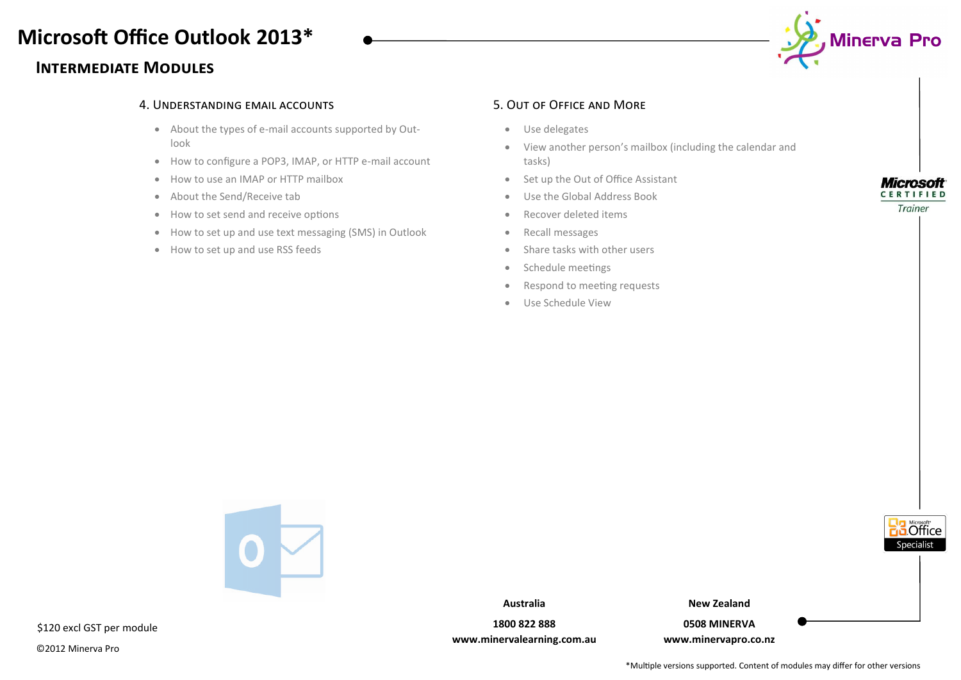## **Microsoft Office Outlook 2013\***

### **Intermediate Modules**



#### 4. Understanding email accounts 5. Out of Office and More

- About the types of e-mail accounts supported by Outlook
- How to configure a POP3, IMAP, or HTTP e-mail account
- How to use an IMAP or HTTP mailbox
- About the Send/Receive tab
- How to set send and receive options
- How to set up and use text messaging (SMS) in Outlook
- How to set up and use RSS feeds

- Use delegates
- View another person's mailbox (including the calendar and tasks)
- Set up the Out of Office Assistant
- Use the Global Address Book
- Recover deleted items
- Recall messages
- Share tasks with other users
- Schedule meetings
- Respond to meeting requests
- Use Schedule View

**Microsoft CERTIFIED** 

Trainer

**5** Office Specialist



\$120 excl GST per module

©2012 Minerva Pro

**Australia**

**New Zealand**

**1800 822 888 www.minervalearning.com.au**

**0508 MINERVA www.minervapro.co.nz**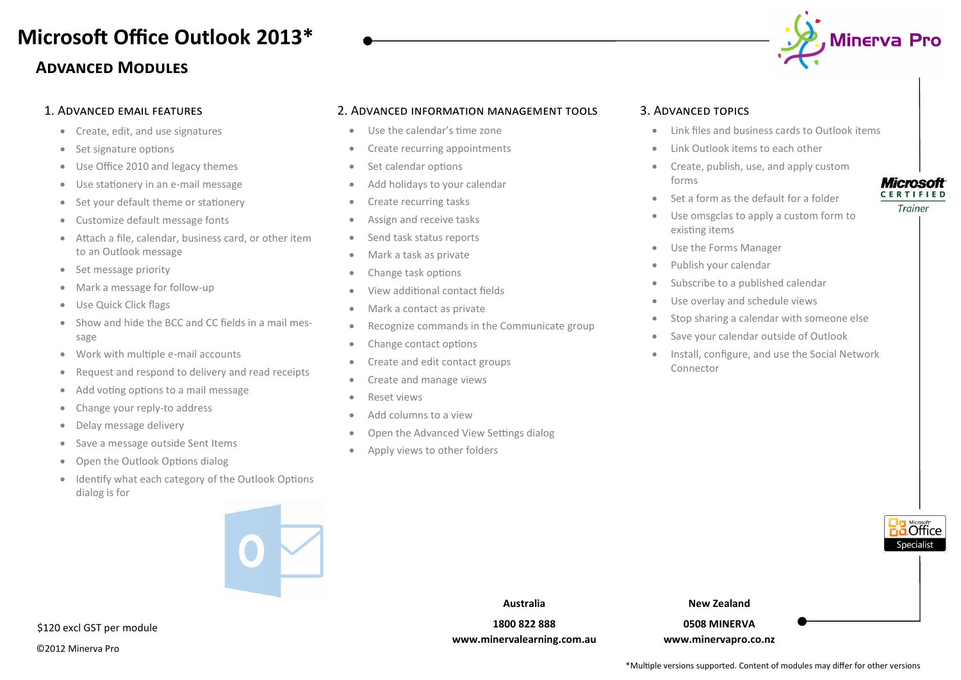# **Microsoft Office Outlook 2013\***

### **Advanced Modules**

#### 1. Advanced email features

- Create, edit, and use signatures
- Set signature options
- Use Office 2010 and legacy themes
- Use stationery in an e-mail message
- Set your default theme or stationery
- Customize default message fonts
- Attach a file, calendar, business card, or other item to an Outlook message
- Set message priority
- Mark a message for follow-up
- Use Quick Click flags
- Show and hide the BCC and CC fields in a mail message
- Work with multiple e-mail accounts
- Request and respond to delivery and read receipts
- Add voting options to a mail message
- Change your reply-to address
- Delay message delivery
- Save a message outside Sent Items
- Open the Outlook Options dialog
- Identify what each category of the Outlook Options dialog is for



#### ©2012 Minerva Pro \$120 excl GST per module

#### 2. Advanced information management tools

- Use the calendar's time zone
- Create recurring appointments
- Set calendar options
- Add holidays to your calendar
- Create recurring tasks
- Assign and receive tasks
- Send task status reports
- Mark a task as private
- Change task options
- View additional contact fields
- Mark a contact as private
- Recognize commands in the Communicate group
- Change contact options
- Create and edit contact groups
- Create and manage views
- Reset views
- Add columns to a view
- Open the Advanced View Settings dialog
- Apply views to other folders

#### 3. Advanced topics

- Link files and business cards to Outlook items
- Link Outlook items to each other
- Create, publish, use, and apply custom forms
- Set a form as the default for a folder
- Use omsgclas to apply a custom form to existing items
- Use the Forms Manager
- Publish your calendar
- Subscribe to a published calendar
- Use overlay and schedule views
- Stop sharing a calendar with someone else
- Save your calendar outside of Outlook
- Install, configure, and use the Social Network Connector

**www.minervalearning.com.au**

**New Zealand**

**0508 MINERVA www.minervapro.co.nz**







**Microsoft CERTIFIED** 



**Australia**

**1800 822 888**